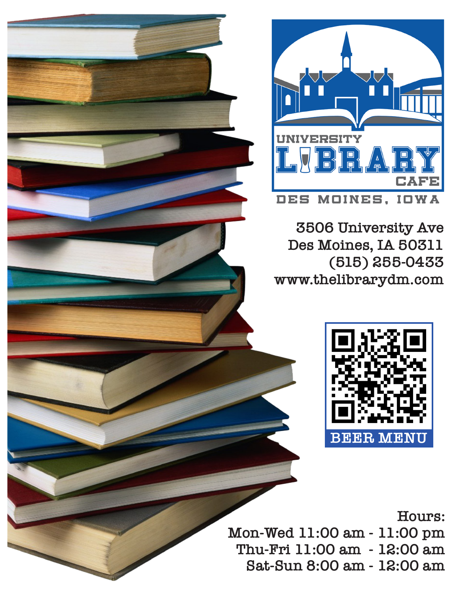

**3506 University Ave Des Moines, IA 50311 (515) 255-0433 www.thelibrarydm.com**



**Hours: Mon-Wed 11:00 am - 11:00 pm Thu-Fri 11:00 am - 12:00 am Sat-Sun 8:00 am - 12:00 am**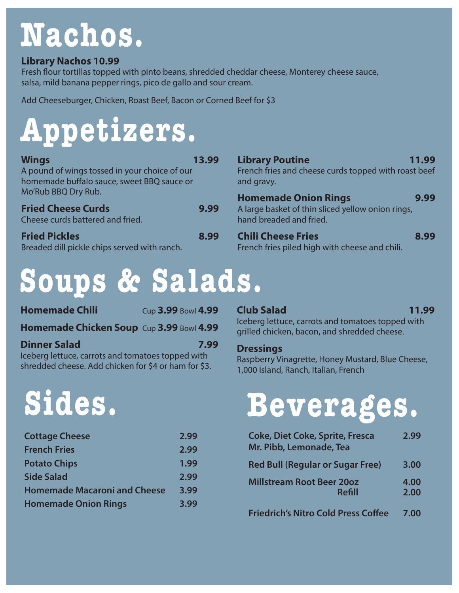# **Nachos.**

# **Library Nachos 10.99**

Fresh flour tortillas topped with pinto beans, shredded cheddar cheese, Monterey cheese sauce, salsa, mild banana pepper rings, pico de gallo and sour cream.

Add Cheeseburger, Chicken, Roast Beef, Bacon or Corned Beef for \$3

# **Appetizers.**

| <b>Wings</b>                                                  | 13.99 |
|---------------------------------------------------------------|-------|
| A pound of wings tossed in your choice of our                 |       |
| homemade buffalo sauce, sweet BBQ sauce or                    |       |
| Mo'Rub BBQ Dry Rub.                                           |       |
| <b>Fried Cheese Curds</b><br>Cheese curds battered and fried. | 9.99  |

**Fried Pickles 8.99** Breaded dill pickle chips served with ranch.

# **Library Poutine 11.99** French fries and cheese curds topped with roast beef and gravy. **Homemade Onion Rings 9.99**

A large basket of thin sliced yellow onion rings, hand breaded and fried.

#### **Chili Cheese Fries 8.99** French fries piled high with cheese and chili.

# **Soups & Salads.**

| <b>Homemade Chili</b>                             | Cup 3.99 Bowl 4.99 |  |
|---------------------------------------------------|--------------------|--|
| <b>Homemade Chicken Soup Cup 3.99 Bowl 4.99</b>   |                    |  |
| <b>Dinner Salad</b>                               | 7.99               |  |
| Iceberg lettuce, carrots and tomatoes topped with |                    |  |

shredded cheese. Add chicken for \$4 or ham for \$3.

# **Sides.**

| <b>Cottage Cheese</b>               | 2.99 |
|-------------------------------------|------|
| <b>French Fries</b>                 | 2.99 |
| <b>Potato Chips</b>                 | 1.99 |
| <b>Side Salad</b>                   | 2.99 |
| <b>Homemade Macaroni and Cheese</b> | 3.99 |
| <b>Homemade Onion Rings</b>         | 3.99 |

#### **Club Salad 11.99**

Iceberg lettuce, carrots and tomatoes topped with grilled chicken, bacon, and shredded cheese.

#### **Dressings**

Raspberry Vinagrette, Honey Mustard, Blue Cheese, 1,000 Island, Ranch, Italian, French

# **Beverages.**

| <b>Coke, Diet Coke, Sprite, Fresca</b><br>Mr. Pibb, Lemonade, Tea | 2.99         |
|-------------------------------------------------------------------|--------------|
| <b>Red Bull (Regular or Sugar Free)</b>                           | 3.00         |
| <b>Millstream Root Beer 20oz</b><br>Refill                        | 4.00<br>2.00 |
| <b>Friedrich's Nitro Cold Press Coffee</b>                        | 7.00         |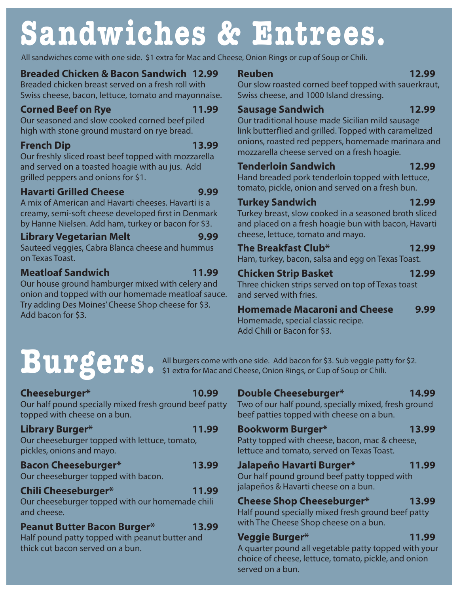# **Sandwiches & Entrees.**

All sandwiches come with one side. \$1 extra for Mac and Cheese, Onion Rings or cup of Soup or Chili.

# **Breaded Chicken & Bacon Sandwich 12.99**

Breaded chicken breast served on a fresh roll with Swiss cheese, bacon, lettuce, tomato and mayonnaise.

### **Corned Beef on Rye** 11.99

Our seasoned and slow cooked corned beef piled high with stone ground mustard on rye bread.

## **French Dip 13.99**

Our freshly sliced roast beef topped with mozzarella and served on a toasted hoagie with au jus. Add grilled peppers and onions for \$1.

# **Havarti Grilled Cheese** 9.99

A mix of American and Havarti cheeses. Havarti is a creamy, semi-soft cheese developed first in Denmark by Hanne Nielsen. Add ham, turkey or bacon for \$3.

# **Library Vegetarian Melt 9.99**

Sauteed veggies, Cabra Blanca cheese and hummus on Texas Toast.

# **Meatloaf Sandwich 11.99**

Our house ground hamburger mixed with celery and onion and topped with our homemade meatloaf sauce. Try adding Des Moines' Cheese Shop cheese for \$3. Add bacon for \$3.

### **Reuben 12.99**

Our slow roasted corned beef topped with sauerkraut, Swiss cheese, and 1000 Island dressing.

# **Sausage Sandwich 12.99**

Our traditional house made Sicilian mild sausage link butterflied and grilled. Topped with caramelized onions, roasted red peppers, homemade marinara and mozzarella cheese served on a fresh hoagie.

### **Tenderloin Sandwich 12.99**

Hand breaded pork tenderloin topped with lettuce, tomato, pickle, onion and served on a fresh bun.

# **Turkey Sandwich 12.99**

Turkey breast, slow cooked in a seasoned broth sliced and placed on a fresh hoagie bun with bacon, Havarti cheese, lettuce, tomato and mayo.

## **The Breakfast Club\* 12.99**

Ham, turkey, bacon, salsa and egg on Texas Toast.

# **Chicken Strip Basket 12.99**

Three chicken strips served on top of Texas toast and served with fries.

**Homemade Macaroni and Cheese 9.99**

Homemade, special classic recipe. Add Chili or Bacon for \$3.

# **Cheeseburger\* 10.99**

Our half pound specially mixed fresh ground beef patty topped with cheese on a bun.

#### **Library Burger\* 11.99** Our cheeseburger topped with lettuce, tomato,

pickles, onions and mayo.

# **Bacon Cheeseburger\* 13.99**

Our cheeseburger topped with bacon.

# **Chili Cheeseburger\* 11.99**

Our cheeseburger topped with our homemade chili and cheese.

# **Peanut Butter Bacon Burger\* 13.99**

Half pound patty topped with peanut butter and thick cut bacon served on a bun.

**BULGCCC** All burgers come with one side. Add bacon for \$3. Sub veggie patty for \$2.<br>
All burgers come with one side. Add bacon for \$3. Sub veggie patty for \$2. \$1 extra for Mac and Cheese, Onion Rings, or Cup of Soup or Chili.

# **Double Cheeseburger\* 14.99**

Two of our half pound, specially mixed, fresh ground beef patties topped with cheese on a bun.

# **Bookworm Burger\* 13.99**

Patty topped with cheese, bacon, mac & cheese, lettuce and tomato, served on Texas Toast.

# **Jalapeño Havarti Burger\* 11.99**

Our half pound ground beef patty topped with jalapeños & Havarti cheese on a bun.

# **Cheese Shop Cheeseburger\* 13.99**

Half pound specially mixed fresh ground beef patty with The Cheese Shop cheese on a bun.

# **Veggie Burger\* 11.99**

A quarter pound all vegetable patty topped with your choice of cheese, lettuce, tomato, pickle, and onion served on a bun.